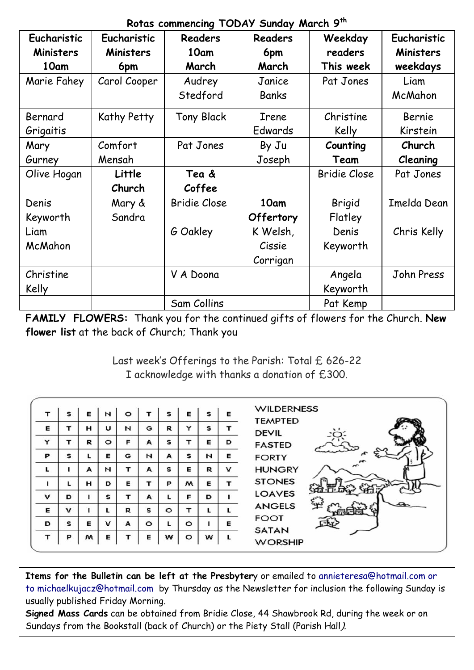|  | Rotas commencing TODAY Sunday March 9th |  |  |  |  |
|--|-----------------------------------------|--|--|--|--|
|--|-----------------------------------------|--|--|--|--|

| Eucharistic      | Eucharistic  | Readers             | Readers   | Weekday             | Eucharistic |
|------------------|--------------|---------------------|-----------|---------------------|-------------|
| <b>Ministers</b> | Ministers    | 10am                |           | readers             |             |
|                  |              |                     | 6pm       |                     | Ministers   |
| 10am             | 6pm          | March               | March     | This week           | weekdays    |
| Marie Fahey      | Carol Cooper | Audrey              | Janice    | Pat Jones           | Liam        |
|                  |              | Stedford            | Banks     |                     | McMahon     |
| Bernard          | Kathy Petty  | <b>Tony Black</b>   | Irene     | Christine           | Bernie      |
| Grigaitis        |              |                     | Edwards   | Kelly               | Kirstein    |
| Mary             | Comfort      | Pat Jones           | By Ju     | Counting            | Church      |
| Gurney           | Mensah       |                     | Joseph    | Team                | Cleaning    |
| Olive Hogan      | Little       | Tea &               |           | <b>Bridie Close</b> | Pat Jones   |
|                  | Church       | Coffee              |           |                     |             |
| Denis            | Mary &       | <b>Bridie Close</b> | 10am      | Brigid              | Imelda Dean |
| Keyworth         | Sandra       |                     | Offertory | Flatley             |             |
| Liam             |              | G Oakley            | K Welsh,  | Denis               | Chris Kelly |
| McMahon          |              |                     | Cissie    | Keyworth            |             |
|                  |              |                     | Corrigan  |                     |             |
| Christine        |              | V A Doona           |           | Angela              | John Press  |
| Kelly            |              |                     |           | Keyworth            |             |
|                  |              | Sam Collins         |           | Pat Kemp            |             |

**FAMILY FLOWERS:** Thank you for the continued gifts of flowers for the Church. **New flower list** at the back of Church; Thank you

> Last week's Offerings to the Parish: Total £ 626-22 I acknowledge with thanks a donation of £300.

| т         | s | Е | N       | $\circ$ |         | s       | E       | s | Е | <b>WILDERNESS</b>              |
|-----------|---|---|---------|---------|---------|---------|---------|---|---|--------------------------------|
| Е         | т | н | U       | N       | G       | R       | Y       | s |   | <b>TEMPTED</b><br><b>DEVIL</b> |
| Y         | т | R | $\circ$ | F       | A       | s       | т       | Е | D | <b>FASTED</b>                  |
| P         | s |   | Е       | G       | N       | А       | s       | N | Е | <b>FORTY</b>                   |
| L         |   | A | И       | т       | A       | s       | Е       | R | v | <b>HUNGRY</b>                  |
|           |   | н | D       | Е       |         | P       | w       | Е |   | <b>STONES</b>                  |
| v         | D |   | s       | т       | A       |         | F       | D |   | <b>LOAVES</b>                  |
| Е         | v |   |         | R       | s       | $\circ$ | т       |   |   | <b>ANGELS</b>                  |
| D         | s | Е | v       | A       | $\circ$ | L       | $\circ$ |   | Е | <b>FOOT</b><br><b>SATAN</b>    |
| $\mathbf$ | P | м | Е       |         | Е       | w       | $\circ$ | w |   | <b>WORSHIP</b>                 |

**Items for the Bulletin can be left at the Presbyter**y or emailed to [annieteresa@hotmail.com or](mailto:annieteresa@hotmail.com%20or%20to%20michaelkujacz@hotmail.com%20%20b)  [to michaelkujacz@hotmail.com by](mailto:annieteresa@hotmail.com%20or%20to%20michaelkujacz@hotmail.com%20%20b) Thursday as the Newsletter for inclusion the following Sunday is usually published Friday Morning.

**Signed Mass Cards** can be obtained from Bridie Close, 44 Shawbrook Rd, during the week or on Sundays from the Bookstall (back of Church) or the Piety Stall (Parish Hall).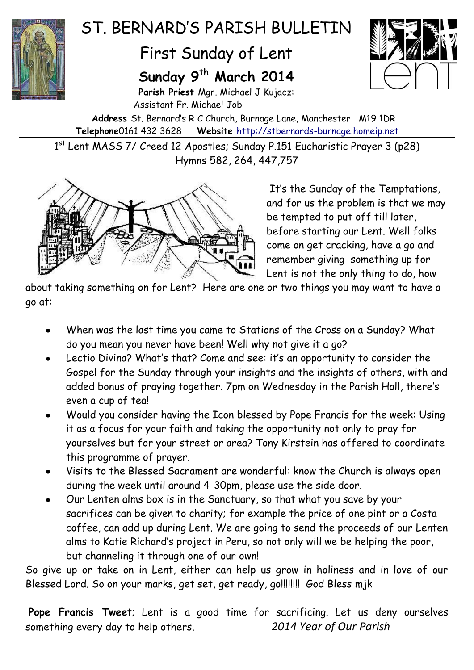

# ST. BERNARD'S PARTSH BULLETIN

## First Sunday of Lent

## **Sunday 9 th March 2014**



**Parish Priest** Mgr. Michael J Kujacz: Assistant Fr. Michael Job

**Address** St. Bernard's R C Church, Burnage Lane, Manchester M19 1DR **Telephone**0161 432 3628 **Website** [http://stbernards-burnage.homeip.net](http://stbernards-burnage.homeip.net/)

1<sup>st</sup> Lent MASS 7/ Creed 12 Apostles; Sunday P.151 Eucharistic Prayer 3 (p28) Hymns 582, 264, 447,757



It's the Sunday of the Temptations, and for us the problem is that we may be tempted to put off till later, before starting our Lent. Well folks come on get cracking, have a go and remember giving something up for Lent is not the only thing to do, how

about taking something on for Lent? Here are one or two things you may want to have a go at:

- When was the last time you came to Stations of the Cross on a Sunday? What do you mean you never have been! Well why not give it a go?
- Lectio Divina? What's that? Come and see: it's an opportunity to consider the Gospel for the Sunday through your insights and the insights of others, with and added bonus of praying together. 7pm on Wednesday in the Parish Hall, there's even a cup of tea!
- Would you consider having the Icon blessed by Pope Francis for the week: Using it as a focus for your faith and taking the opportunity not only to pray for yourselves but for your street or area? Tony Kirstein has offered to coordinate this programme of prayer.
- Visits to the Blessed Sacrament are wonderful: know the Church is always open during the week until around 4-30pm, please use the side door.
- Our Lenten alms box is in the Sanctuary, so that what you save by your sacrifices can be given to charity; for example the price of one pint or a Costa coffee, can add up during Lent. We are going to send the proceeds of our Lenten alms to Katie Richard's project in Peru, so not only will we be helping the poor, but channeling it through one of our own!

So give up or take on in Lent, either can help us grow in holiness and in love of our Blessed Lord. So on your marks, get set, get ready, go!!!!!!!!! God Bless mjk

**Pope Francis Tweet**; Lent is a good time for sacrificing. Let us deny ourselves something every day to help others. *2014 Year of Our Parish*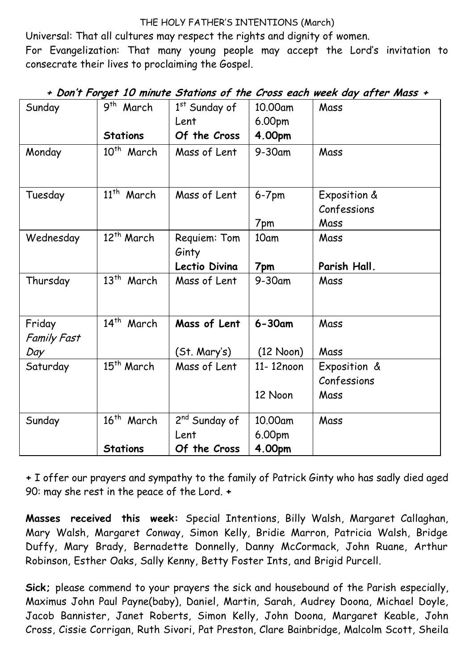#### THE HOLY FATHER'S INTENTIONS (March)

Universal: That all cultures may respect the rights and dignity of women.

For Evangelization: That many young people may accept the Lord's invitation to consecrate their lives to proclaiming the Gospel.

| Sunday                       | $\overline{9}$ <sup>th</sup> March | 1st Sunday of<br>Lent                  | 10.00am<br>6.00pm   | Mass                                |
|------------------------------|------------------------------------|----------------------------------------|---------------------|-------------------------------------|
|                              | <b>Stations</b>                    | Of the Cross                           | 4.00pm              |                                     |
| Monday                       | 10 <sup>th</sup> March             | Mass of Lent                           | $9-30$ am           | Mass                                |
| Tuesday                      | $11^{th}$<br>March                 | Mass of Lent                           | $6-7$ pm<br>7pm     | Exposition &<br>Confessions<br>Mass |
| Wednesday                    | 12 <sup>th</sup> March             | Requiem: Tom<br>Ginty<br>Lectio Divina | 10am<br>7pm         | Mass<br>Parish Hall.                |
| Thursday                     | $13^{th}$<br>March                 | Mass of Lent                           | $9-30$ am           | Mass                                |
| Friday<br><b>Family Fast</b> | $14^{th}$<br>March                 | Mass of Lent                           | $6 - 30$ am         | Mass                                |
| Day                          |                                    | (St. Mary's)                           | $(12 \text{ Noon})$ | Mass                                |
| Saturday                     | 15 <sup>th</sup> March             | Mass of Lent                           | 11-12noon           | Exposition &<br>Confessions         |
|                              |                                    |                                        | 12 Noon             | Mass                                |
| Sunday                       | 16 <sup>th</sup> March             | 2 <sup>nd</sup> Sunday of<br>Lent      | 10.00am<br>6.00pm   | Mass                                |
|                              | <b>Stations</b>                    | Of the Cross                           | 4.00pm              |                                     |

### **+ Don't Forget 10 minute Stations of the Cross each week day after Mass +**

**+** I offer our prayers and sympathy to the family of Patrick Ginty who has sadly died aged 90: may she rest in the peace of the Lord. **+**

**Masses received this week:** Special Intentions, Billy Walsh, Margaret Callaghan, Mary Walsh, Margaret Conway, Simon Kelly, Bridie Marron, Patricia Walsh, Bridge Duffy, Mary Brady, Bernadette Donnelly, Danny McCormack, John Ruane, Arthur Robinson, Esther Oaks, Sally Kenny, Betty Foster Ints, and Brigid Purcell.

**Sick;** please commend to your prayers the sick and housebound of the Parish especially, Maximus John Paul Payne(baby), Daniel, Martin, Sarah, Audrey Doona, Michael Doyle, Jacob Bannister, Janet Roberts, Simon Kelly, John Doona, Margaret Keable, John Cross, Cissie Corrigan, Ruth Sivori, Pat Preston, Clare Bainbridge, Malcolm Scott, Sheila